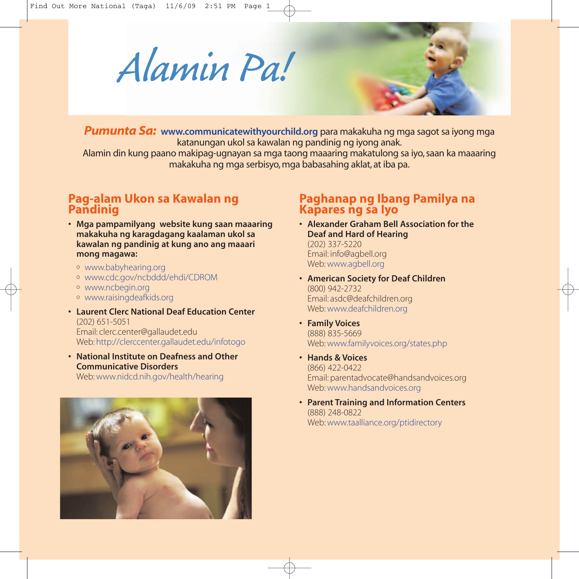*Alamin Pa!*

*Pumunta Sa:* **www.communicatewithyourchild.org** para makakuha ng mga sagot sa iyong mga katanungan ukol sa kawalan ng pandinig ng iyong anak.

Alamin din kung paano makipag-ugnayan sa mga taong maaaring makatulong sa iyo, saan ka maaaring makakuha ng mga serbisyo, mga babasahing aklat, at iba pa.

## **Pag-alam Ukon sa Kawalan ng Pandinig**

- **Mga pampamilyang website kung saan maaaring makakuha ng karagdagang kaalaman ukol sa kawalan ng pandinig at kung ano ang maaari mong magawa:**
	- <sup>o</sup> www.babyhearing.org
	- <sup>o</sup> www.cdc.gov/ncbddd/ehdi/CDROM
	- <sup>o</sup> www.ncbegin.org
	- <sup>o</sup> www.raisingdeafkids.org
- **Laurent Clerc National Deaf Education Center** (202) 651-5051 Email: clerc.center@gallaudet.edu Web: http://clerccenter.gallaudet.edu/infotogo
- **National Institute on Deafness and Other Communicative Disorders**

Web: www.nidcd.nih.gov/health/hearing



## **Paghanap ng Ibang Pamilya na Kapares ng sa Iyo**

- **Alexander Graham Bell Association for the Deaf and Hard of Hearing** (202) 337-5220 Email: info@agbell.org Web: www.agbell.org
- **• American Society for Deaf Children** (800) 942-2732 Email: asdc@deafchildren.org Web: www.deafchildren.org
- **• Family Voices** (888) 835-5669 Web: www.familyvoices.org/states.php
- **Hands & Voices** (866) 422-0422 Email: parentadvocate@handsandvoices.org Web: www.handsandvoices.org
- **• Parent Training and Information Centers** (888) 248-0822 Web: www.taalliance.org/ptidirectory